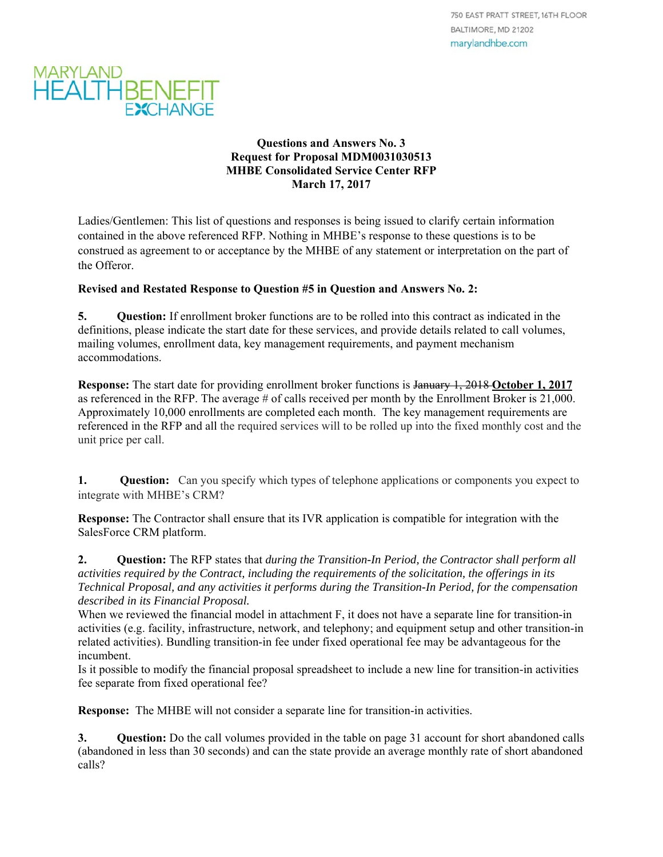

#### **Questions and Answers No. 3 Request for Proposal MDM0031030513 MHBE Consolidated Service Center RFP March 17, 2017**

Ladies/Gentlemen: This list of questions and responses is being issued to clarify certain information contained in the above referenced RFP. Nothing in MHBE's response to these questions is to be construed as agreement to or acceptance by the MHBE of any statement or interpretation on the part of the Offeror.

#### **Revised and Restated Response to Question #5 in Question and Answers No. 2:**

**5. Question:** If enrollment broker functions are to be rolled into this contract as indicated in the definitions, please indicate the start date for these services, and provide details related to call volumes, mailing volumes, enrollment data, key management requirements, and payment mechanism accommodations.

**Response:** The start date for providing enrollment broker functions is January 1, 2018 **October 1, 2017** as referenced in the RFP. The average # of calls received per month by the Enrollment Broker is 21,000. Approximately 10,000 enrollments are completed each month. The key management requirements are referenced in the RFP and all the required services will to be rolled up into the fixed monthly cost and the unit price per call.

**1. Question:** Can you specify which types of telephone applications or components you expect to integrate with MHBE's CRM?

**Response:** The Contractor shall ensure that its IVR application is compatible for integration with the SalesForce CRM platform.

**2. Question:** The RFP states that *during the Transition-In Period, the Contractor shall perform all activities required by the Contract, including the requirements of the solicitation, the offerings in its Technical Proposal, and any activities it performs during the Transition-In Period, for the compensation described in its Financial Proposal.* 

When we reviewed the financial model in attachment F, it does not have a separate line for transition-in activities (e.g. facility, infrastructure, network, and telephony; and equipment setup and other transition-in related activities). Bundling transition-in fee under fixed operational fee may be advantageous for the incumbent.

Is it possible to modify the financial proposal spreadsheet to include a new line for transition-in activities fee separate from fixed operational fee?

**Response:** The MHBE will not consider a separate line for transition-in activities.

**3.** Question: Do the call volumes provided in the table on page 31 account for short abandoned calls (abandoned in less than 30 seconds) and can the state provide an average monthly rate of short abandoned calls?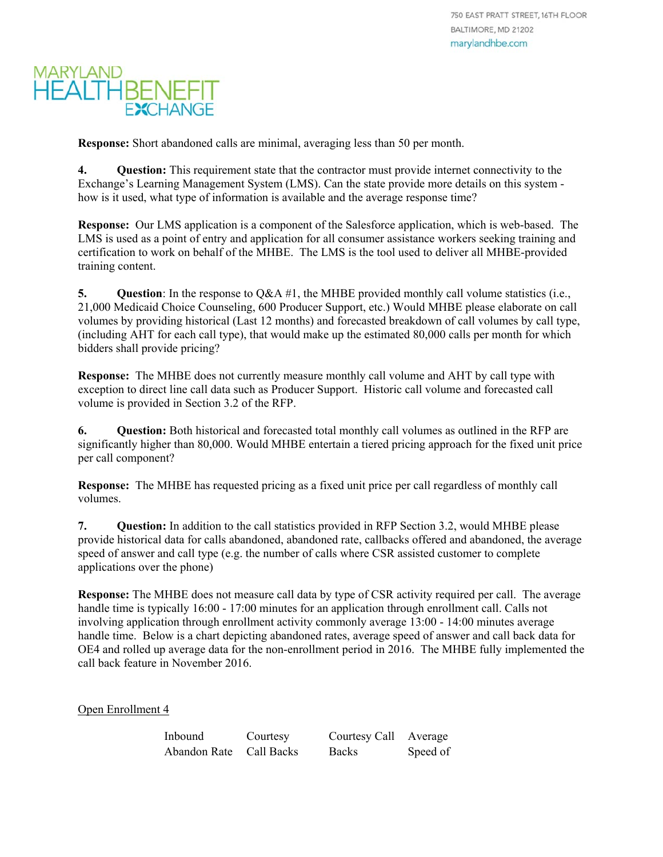**Response:** Short abandoned calls are minimal, averaging less than 50 per month.

**4.** Question: This requirement state that the contractor must provide internet connectivity to the Exchange's Learning Management System (LMS). Can the state provide more details on this system how is it used, what type of information is available and the average response time?

**Response:** Our LMS application is a component of the Salesforce application, which is web-based. The LMS is used as a point of entry and application for all consumer assistance workers seeking training and certification to work on behalf of the MHBE. The LMS is the tool used to deliver all MHBE-provided training content.

**5.** Ouestion: In the response to  $O\&\text{A}\#1$ , the MHBE provided monthly call volume statistics (i.e., 21,000 Medicaid Choice Counseling, 600 Producer Support, etc.) Would MHBE please elaborate on call volumes by providing historical (Last 12 months) and forecasted breakdown of call volumes by call type, (including AHT for each call type), that would make up the estimated 80,000 calls per month for which bidders shall provide pricing?

**Response:** The MHBE does not currently measure monthly call volume and AHT by call type with exception to direct line call data such as Producer Support. Historic call volume and forecasted call volume is provided in Section 3.2 of the RFP.

**6. Question:** Both historical and forecasted total monthly call volumes as outlined in the RFP are significantly higher than 80,000. Would MHBE entertain a tiered pricing approach for the fixed unit price per call component?

**Response:** The MHBE has requested pricing as a fixed unit price per call regardless of monthly call volumes.

**7. Question:** In addition to the call statistics provided in RFP Section 3.2, would MHBE please provide historical data for calls abandoned, abandoned rate, callbacks offered and abandoned, the average speed of answer and call type (e.g. the number of calls where CSR assisted customer to complete applications over the phone)

**Response:** The MHBE does not measure call data by type of CSR activity required per call. The average handle time is typically 16:00 - 17:00 minutes for an application through enrollment call. Calls not involving application through enrollment activity commonly average 13:00 - 14:00 minutes average handle time. Below is a chart depicting abandoned rates, average speed of answer and call back data for OE4 and rolled up average data for the non-enrollment period in 2016. The MHBE fully implemented the call back feature in November 2016.

Open Enrollment 4

| Inbound                 | Courtesy | Courtesy Call Average |          |
|-------------------------|----------|-----------------------|----------|
| Abandon Rate Call Backs |          | <b>Backs</b>          | Speed of |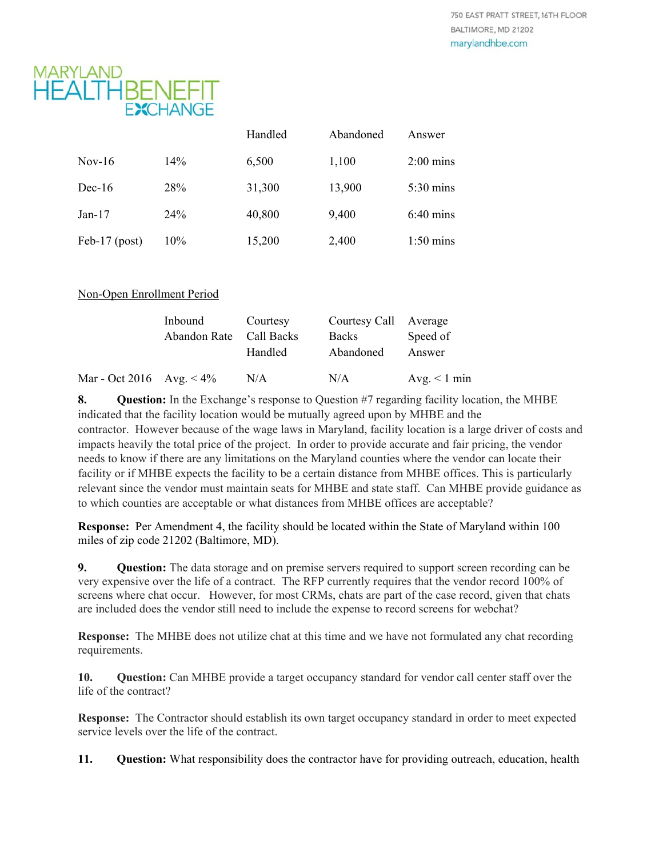

|                 |     | Handled | Abandoned | Answer              |
|-----------------|-----|---------|-----------|---------------------|
| Nov-16          | 14% | 6,500   | 1,100     | $2:00 \text{ mins}$ |
| $Dec-16$        | 28% | 31,300  | 13,900    | $5:30 \text{ mins}$ |
| $Jan-17$        | 24% | 40,800  | 9,400     | $6:40 \text{ mins}$ |
| Feb-17 $(post)$ | 10% | 15,200  | 2,400     | $1:50 \text{ mins}$ |

| Non-Open Enrollment Period |
|----------------------------|
|----------------------------|

|                             | Inbound<br>Abandon Rate Call Backs | Courtesy<br>Handled | Courtesy Call Average<br><b>Backs</b><br>Abandoned | Speed of<br>Answer |
|-----------------------------|------------------------------------|---------------------|----------------------------------------------------|--------------------|
| Mar - Oct 2016 Avg. $< 4\%$ |                                    | N/A                 | N/A                                                | Avg. $< 1$ min     |

**8. Question:** In the Exchange's response to Question #7 regarding facility location, the MHBE indicated that the facility location would be mutually agreed upon by MHBE and the contractor. However because of the wage laws in Maryland, facility location is a large driver of costs and impacts heavily the total price of the project. In order to provide accurate and fair pricing, the vendor needs to know if there are any limitations on the Maryland counties where the vendor can locate their facility or if MHBE expects the facility to be a certain distance from MHBE offices. This is particularly relevant since the vendor must maintain seats for MHBE and state staff. Can MHBE provide guidance as to which counties are acceptable or what distances from MHBE offices are acceptable?

**Response:** Per Amendment 4, the facility should be located within the State of Maryland within 100 miles of zip code 21202 (Baltimore, MD).

**9.** Ouestion: The data storage and on premise servers required to support screen recording can be very expensive over the life of a contract. The RFP currently requires that the vendor record 100% of screens where chat occur. However, for most CRMs, chats are part of the case record, given that chats are included does the vendor still need to include the expense to record screens for webchat?

**Response:** The MHBE does not utilize chat at this time and we have not formulated any chat recording requirements.

**10. Question:** Can MHBE provide a target occupancy standard for vendor call center staff over the life of the contract?

**Response:** The Contractor should establish its own target occupancy standard in order to meet expected service levels over the life of the contract.

**11. Question:** What responsibility does the contractor have for providing outreach, education, health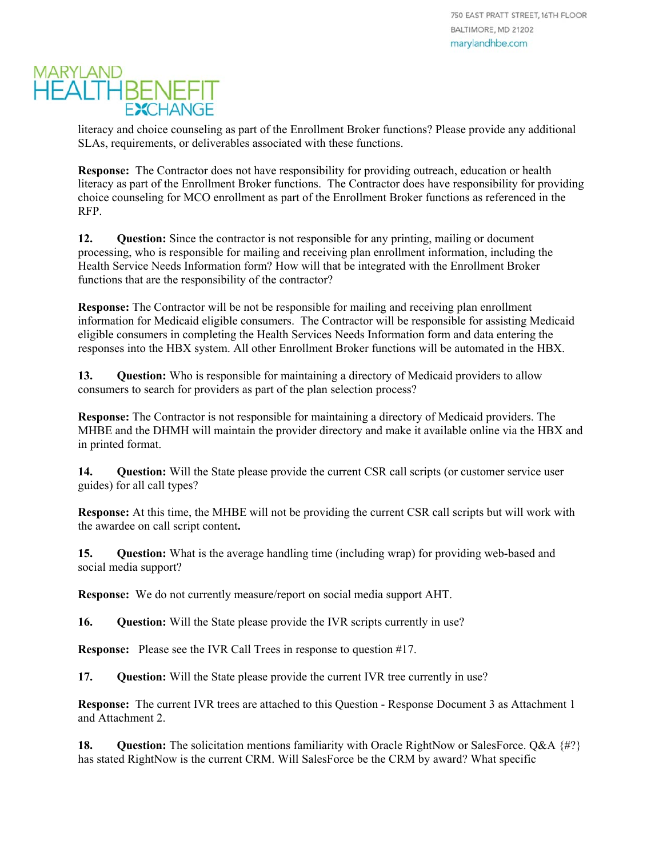literacy and choice counseling as part of the Enrollment Broker functions? Please provide any additional SLAs, requirements, or deliverables associated with these functions.

**Response:** The Contractor does not have responsibility for providing outreach, education or health literacy as part of the Enrollment Broker functions. The Contractor does have responsibility for providing choice counseling for MCO enrollment as part of the Enrollment Broker functions as referenced in the RFP.

12. **Question:** Since the contractor is not responsible for any printing, mailing or document processing, who is responsible for mailing and receiving plan enrollment information, including the Health Service Needs Information form? How will that be integrated with the Enrollment Broker functions that are the responsibility of the contractor?

**Response:** The Contractor will be not be responsible for mailing and receiving plan enrollment information for Medicaid eligible consumers. The Contractor will be responsible for assisting Medicaid eligible consumers in completing the Health Services Needs Information form and data entering the responses into the HBX system. All other Enrollment Broker functions will be automated in the HBX.

**13. Question:** Who is responsible for maintaining a directory of Medicaid providers to allow consumers to search for providers as part of the plan selection process?

**Response:** The Contractor is not responsible for maintaining a directory of Medicaid providers. The MHBE and the DHMH will maintain the provider directory and make it available online via the HBX and in printed format.

**14. Question:** Will the State please provide the current CSR call scripts (or customer service user guides) for all call types?

**Response:** At this time, the MHBE will not be providing the current CSR call scripts but will work with the awardee on call script content**.** 

**15. Question:** What is the average handling time (including wrap) for providing web-based and social media support?

**Response:** We do not currently measure/report on social media support AHT.

**16. Question:** Will the State please provide the IVR scripts currently in use?

**Response:** Please see the IVR Call Trees in response to question #17.

**17.** Question: Will the State please provide the current IVR tree currently in use?

**Response:** The current IVR trees are attached to this Question - Response Document 3 as Attachment 1 and Attachment 2.

**18. Question:** The solicitation mentions familiarity with Oracle RightNow or SalesForce. Q&A {#?} has stated RightNow is the current CRM. Will SalesForce be the CRM by award? What specific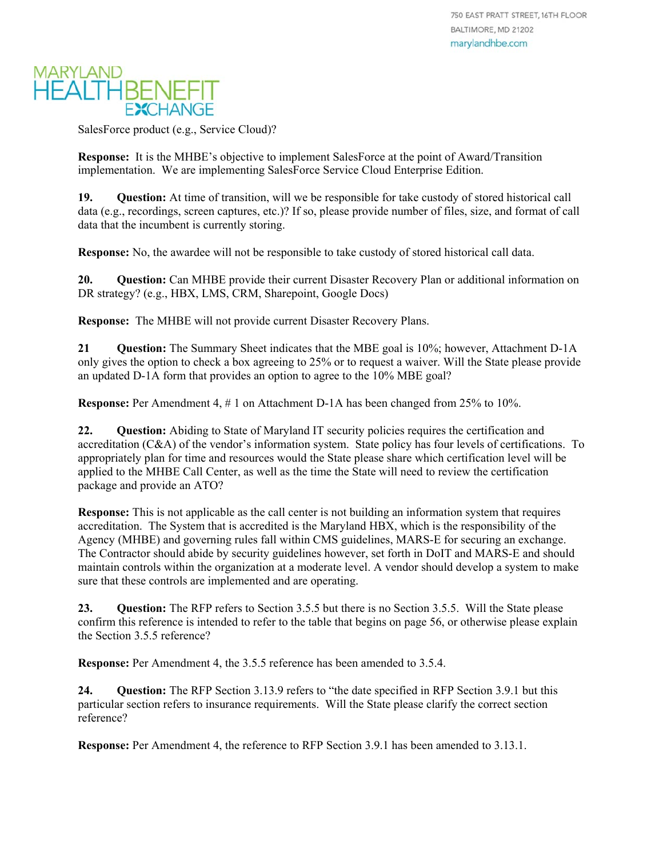

SalesForce product (e.g., Service Cloud)?

**Response:** It is the MHBE's objective to implement SalesForce at the point of Award/Transition implementation. We are implementing SalesForce Service Cloud Enterprise Edition.

**19. Question:** At time of transition, will we be responsible for take custody of stored historical call data (e.g., recordings, screen captures, etc.)? If so, please provide number of files, size, and format of call data that the incumbent is currently storing.

**Response:** No, the awardee will not be responsible to take custody of stored historical call data.

**20. Question:** Can MHBE provide their current Disaster Recovery Plan or additional information on DR strategy? (e.g., HBX, LMS, CRM, Sharepoint, Google Docs)

**Response:** The MHBE will not provide current Disaster Recovery Plans.

**21 Question:** The Summary Sheet indicates that the MBE goal is 10%; however, Attachment D-1A only gives the option to check a box agreeing to 25% or to request a waiver. Will the State please provide an updated D-1A form that provides an option to agree to the 10% MBE goal?

**Response:** Per Amendment 4, # 1 on Attachment D-1A has been changed from 25% to 10%.

22. **Question:** Abiding to State of Maryland IT security policies requires the certification and accreditation (C&A) of the vendor's information system. State policy has four levels of certifications. To appropriately plan for time and resources would the State please share which certification level will be applied to the MHBE Call Center, as well as the time the State will need to review the certification package and provide an ATO?

**Response:** This is not applicable as the call center is not building an information system that requires accreditation. The System that is accredited is the Maryland HBX, which is the responsibility of the Agency (MHBE) and governing rules fall within CMS guidelines, MARS-E for securing an exchange. The Contractor should abide by security guidelines however, set forth in DoIT and MARS-E and should maintain controls within the organization at a moderate level. A vendor should develop a system to make sure that these controls are implemented and are operating.

23. **Question:** The RFP refers to Section 3.5.5 but there is no Section 3.5.5. Will the State please confirm this reference is intended to refer to the table that begins on page 56, or otherwise please explain the Section 3.5.5 reference?

**Response:** Per Amendment 4, the 3.5.5 reference has been amended to 3.5.4.

**24. Question:** The RFP Section 3.13.9 refers to "the date specified in RFP Section 3.9.1 but this particular section refers to insurance requirements. Will the State please clarify the correct section reference?

**Response:** Per Amendment 4, the reference to RFP Section 3.9.1 has been amended to 3.13.1.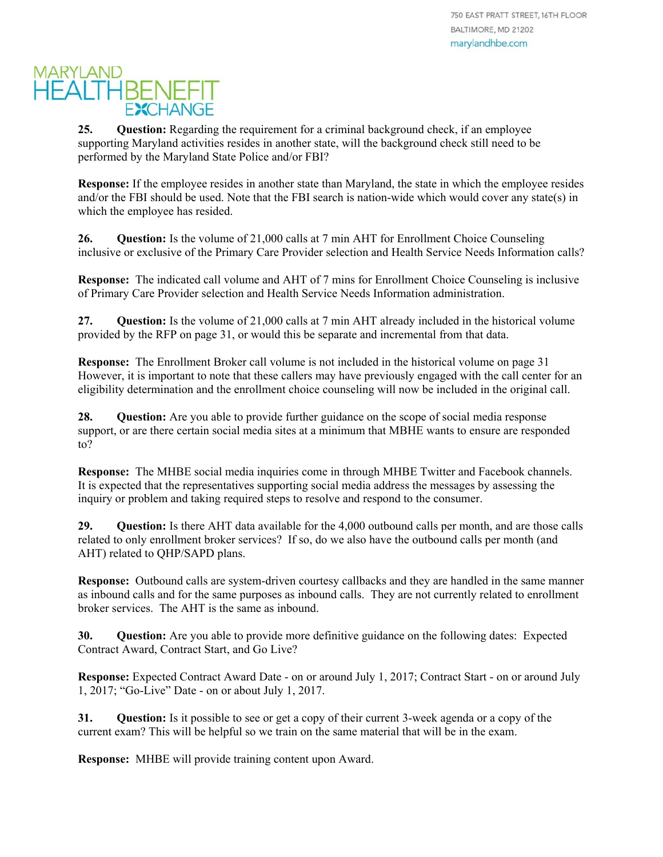**25.** Question: Regarding the requirement for a criminal background check, if an employee supporting Maryland activities resides in another state, will the background check still need to be performed by the Maryland State Police and/or FBI?

**Response:** If the employee resides in another state than Maryland, the state in which the employee resides and/or the FBI should be used. Note that the FBI search is nation-wide which would cover any state(s) in which the employee has resided.

**26. Question:** Is the volume of 21,000 calls at 7 min AHT for Enrollment Choice Counseling inclusive or exclusive of the Primary Care Provider selection and Health Service Needs Information calls?

**Response:** The indicated call volume and AHT of 7 mins for Enrollment Choice Counseling is inclusive of Primary Care Provider selection and Health Service Needs Information administration.

**27. Question:** Is the volume of 21,000 calls at 7 min AHT already included in the historical volume provided by the RFP on page 31, or would this be separate and incremental from that data.

**Response:** The Enrollment Broker call volume is not included in the historical volume on page 31 However, it is important to note that these callers may have previously engaged with the call center for an eligibility determination and the enrollment choice counseling will now be included in the original call.

28. **Question:** Are you able to provide further guidance on the scope of social media response support, or are there certain social media sites at a minimum that MBHE wants to ensure are responded to?

**Response:** The MHBE social media inquiries come in through MHBE Twitter and Facebook channels. It is expected that the representatives supporting social media address the messages by assessing the inquiry or problem and taking required steps to resolve and respond to the consumer.

**29. Question:** Is there AHT data available for the 4,000 outbound calls per month, and are those calls related to only enrollment broker services? If so, do we also have the outbound calls per month (and AHT) related to QHP/SAPD plans.

**Response:** Outbound calls are system-driven courtesy callbacks and they are handled in the same manner as inbound calls and for the same purposes as inbound calls. They are not currently related to enrollment broker services. The AHT is the same as inbound.

**30. Question:** Are you able to provide more definitive guidance on the following dates: Expected Contract Award, Contract Start, and Go Live?

**Response:** Expected Contract Award Date - on or around July 1, 2017; Contract Start - on or around July 1, 2017; "Go-Live" Date - on or about July 1, 2017.

**31. Question:** Is it possible to see or get a copy of their current 3-week agenda or a copy of the current exam? This will be helpful so we train on the same material that will be in the exam.

**Response:** MHBE will provide training content upon Award.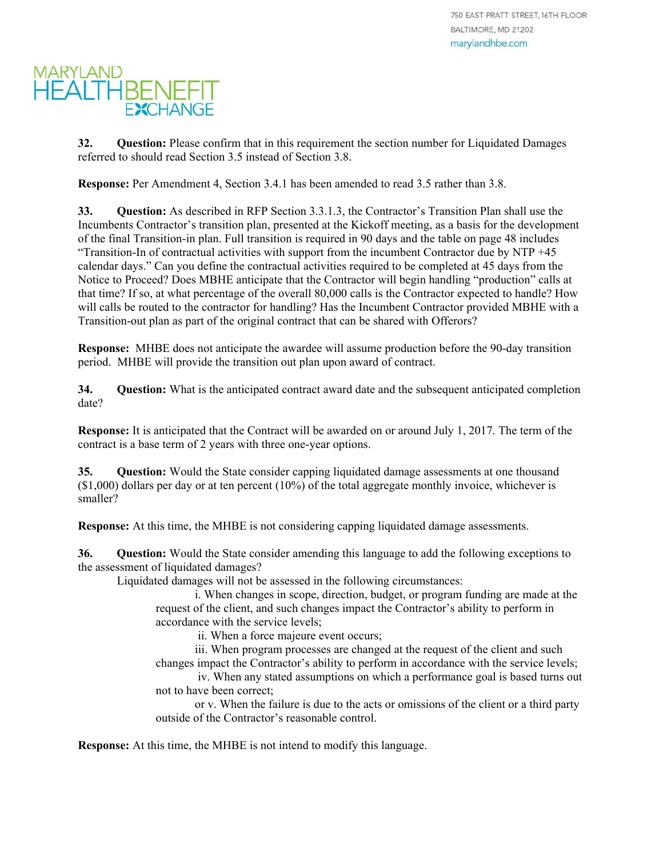**32. Question:** Please confirm that in this requirement the section number for Liquidated Damages referred to should read Section 3.5 instead of Section 3.8.

**Response:** Per Amendment 4, Section 3.4.1 has been amended to read 3.5 rather than 3.8.

**33. Question:** As described in RFP Section 3.3.1.3, the Contractor's Transition Plan shall use the Incumbents Contractor's transition plan, presented at the Kickoff meeting, as a basis for the development of the final Transition-in plan. Full transition is required in 90 days and the table on page 48 includes "Transition-In of contractual activities with support from the incumbent Contractor due by NTP +45 calendar days." Can you define the contractual activities required to be completed at 45 days from the Notice to Proceed? Does MBHE anticipate that the Contractor will begin handling "production" calls at that time? If so, at what percentage of the overall 80,000 calls is the Contractor expected to handle? How will calls be routed to the contractor for handling? Has the Incumbent Contractor provided MBHE with a Transition-out plan as part of the original contract that can be shared with Offerors?

**Response:** MHBE does not anticipate the awardee will assume production before the 90-day transition period. MHBE will provide the transition out plan upon award of contract.

**34. Question:** What is the anticipated contract award date and the subsequent anticipated completion date?

**Response:** It is anticipated that the Contract will be awarded on or around July 1, 2017. The term of the contract is a base term of 2 years with three one-year options.

**35. Question:** Would the State consider capping liquidated damage assessments at one thousand  $(10,000)$  dollars per day or at ten percent  $(10\%)$  of the total aggregate monthly invoice, whichever is smaller?

**Response:** At this time, the MHBE is not considering capping liquidated damage assessments.

**36. Question:** Would the State consider amending this language to add the following exceptions to the assessment of liquidated damages?

Liquidated damages will not be assessed in the following circumstances:

i. When changes in scope, direction, budget, or program funding are made at the request of the client, and such changes impact the Contractor's ability to perform in accordance with the service levels;

ii. When a force majeure event occurs;

iii. When program processes are changed at the request of the client and such changes impact the Contractor's ability to perform in accordance with the service levels;

 iv. When any stated assumptions on which a performance goal is based turns out not to have been correct;

or v. When the failure is due to the acts or omissions of the client or a third party outside of the Contractor's reasonable control.

**Response:** At this time, the MHBE is not intend to modify this language.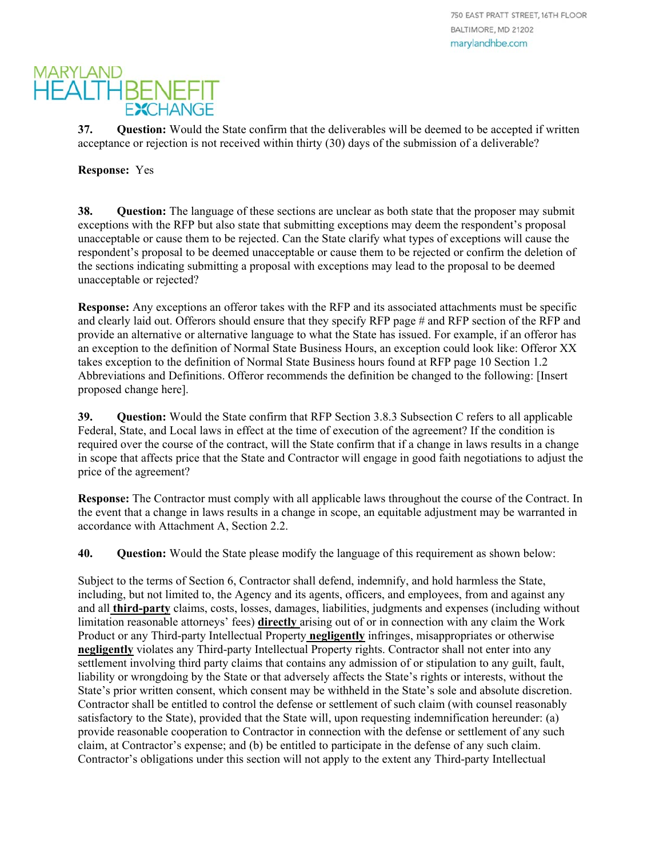750 EAST PRATT STREET, 16TH FLOOR BALTIMORE, MD 21202 marylandhbe.com

### **MARYLAND HEALTHBENEFIT EXCHANGE**

**37. Question:** Would the State confirm that the deliverables will be deemed to be accepted if written acceptance or rejection is not received within thirty (30) days of the submission of a deliverable?

**Response:** Yes

**38. Question:** The language of these sections are unclear as both state that the proposer may submit exceptions with the RFP but also state that submitting exceptions may deem the respondent's proposal unacceptable or cause them to be rejected. Can the State clarify what types of exceptions will cause the respondent's proposal to be deemed unacceptable or cause them to be rejected or confirm the deletion of the sections indicating submitting a proposal with exceptions may lead to the proposal to be deemed unacceptable or rejected?

**Response:** Any exceptions an offeror takes with the RFP and its associated attachments must be specific and clearly laid out. Offerors should ensure that they specify RFP page # and RFP section of the RFP and provide an alternative or alternative language to what the State has issued. For example, if an offeror has an exception to the definition of Normal State Business Hours, an exception could look like: Offeror XX takes exception to the definition of Normal State Business hours found at RFP page 10 Section 1.2 Abbreviations and Definitions. Offeror recommends the definition be changed to the following: [Insert proposed change here].

**39. Question:** Would the State confirm that RFP Section 3.8.3 Subsection C refers to all applicable Federal, State, and Local laws in effect at the time of execution of the agreement? If the condition is required over the course of the contract, will the State confirm that if a change in laws results in a change in scope that affects price that the State and Contractor will engage in good faith negotiations to adjust the price of the agreement?

**Response:** The Contractor must comply with all applicable laws throughout the course of the Contract. In the event that a change in laws results in a change in scope, an equitable adjustment may be warranted in accordance with Attachment A, Section 2.2.

**40. Question:** Would the State please modify the language of this requirement as shown below:

Subject to the terms of Section 6, Contractor shall defend, indemnify, and hold harmless the State, including, but not limited to, the Agency and its agents, officers, and employees, from and against any and all **third-party** claims, costs, losses, damages, liabilities, judgments and expenses (including without limitation reasonable attorneys' fees) **directly** arising out of or in connection with any claim the Work Product or any Third-party Intellectual Property **negligently** infringes, misappropriates or otherwise **negligently** violates any Third-party Intellectual Property rights. Contractor shall not enter into any settlement involving third party claims that contains any admission of or stipulation to any guilt, fault, liability or wrongdoing by the State or that adversely affects the State's rights or interests, without the State's prior written consent, which consent may be withheld in the State's sole and absolute discretion. Contractor shall be entitled to control the defense or settlement of such claim (with counsel reasonably satisfactory to the State), provided that the State will, upon requesting indemnification hereunder: (a) provide reasonable cooperation to Contractor in connection with the defense or settlement of any such claim, at Contractor's expense; and (b) be entitled to participate in the defense of any such claim. Contractor's obligations under this section will not apply to the extent any Third-party Intellectual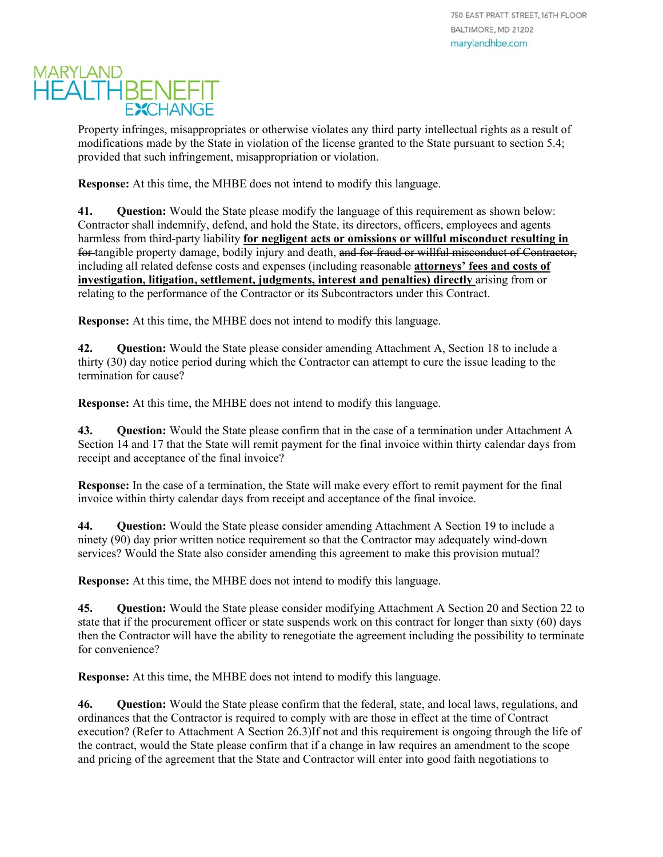Property infringes, misappropriates or otherwise violates any third party intellectual rights as a result of modifications made by the State in violation of the license granted to the State pursuant to section 5.4; provided that such infringement, misappropriation or violation.

**Response:** At this time, the MHBE does not intend to modify this language.

**41. Question:** Would the State please modify the language of this requirement as shown below: Contractor shall indemnify, defend, and hold the State, its directors, officers, employees and agents harmless from third-party liability **for negligent acts or omissions or willful misconduct resulting in**  for tangible property damage, bodily injury and death, and for fraud or willful misconduct of Contractor, including all related defense costs and expenses (including reasonable **attorneys' fees and costs of investigation, litigation, settlement, judgments, interest and penalties) directly** arising from or relating to the performance of the Contractor or its Subcontractors under this Contract.

**Response:** At this time, the MHBE does not intend to modify this language.

**42. Question:** Would the State please consider amending Attachment A, Section 18 to include a thirty (30) day notice period during which the Contractor can attempt to cure the issue leading to the termination for cause?

**Response:** At this time, the MHBE does not intend to modify this language.

**43. Question:** Would the State please confirm that in the case of a termination under Attachment A Section 14 and 17 that the State will remit payment for the final invoice within thirty calendar days from receipt and acceptance of the final invoice?

**Response:** In the case of a termination, the State will make every effort to remit payment for the final invoice within thirty calendar days from receipt and acceptance of the final invoice.

**44. Question:** Would the State please consider amending Attachment A Section 19 to include a ninety (90) day prior written notice requirement so that the Contractor may adequately wind-down services? Would the State also consider amending this agreement to make this provision mutual?

**Response:** At this time, the MHBE does not intend to modify this language.

**45. Question:** Would the State please consider modifying Attachment A Section 20 and Section 22 to state that if the procurement officer or state suspends work on this contract for longer than sixty (60) days then the Contractor will have the ability to renegotiate the agreement including the possibility to terminate for convenience?

**Response:** At this time, the MHBE does not intend to modify this language.

**46. Question:** Would the State please confirm that the federal, state, and local laws, regulations, and ordinances that the Contractor is required to comply with are those in effect at the time of Contract execution? (Refer to Attachment A Section 26.3)If not and this requirement is ongoing through the life of the contract, would the State please confirm that if a change in law requires an amendment to the scope and pricing of the agreement that the State and Contractor will enter into good faith negotiations to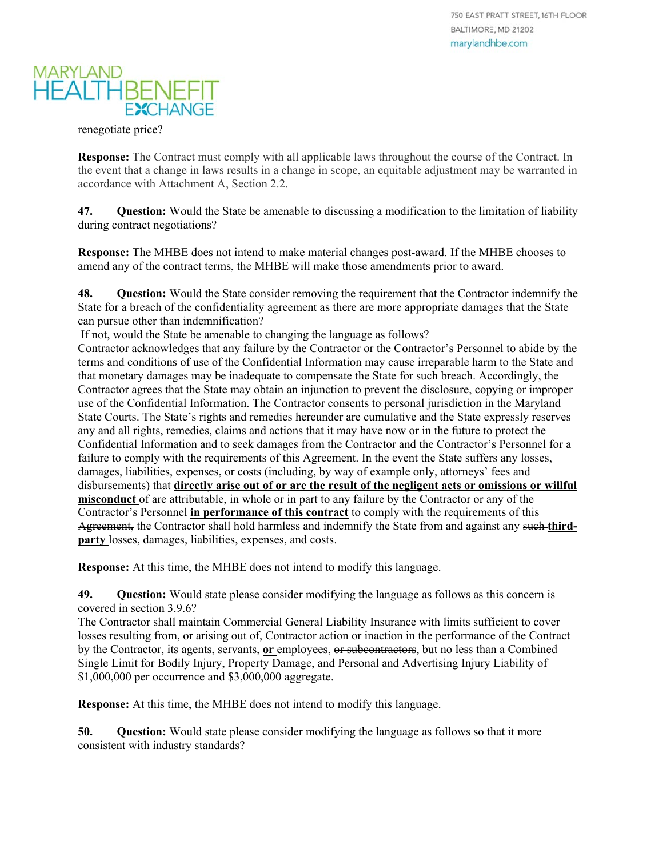

renegotiate price?

**Response:** The Contract must comply with all applicable laws throughout the course of the Contract. In the event that a change in laws results in a change in scope, an equitable adjustment may be warranted in accordance with Attachment A, Section 2.2.

**47. Question:** Would the State be amenable to discussing a modification to the limitation of liability during contract negotiations?

**Response:** The MHBE does not intend to make material changes post-award. If the MHBE chooses to amend any of the contract terms, the MHBE will make those amendments prior to award.

**48. Question:** Would the State consider removing the requirement that the Contractor indemnify the State for a breach of the confidentiality agreement as there are more appropriate damages that the State can pursue other than indemnification?

If not, would the State be amenable to changing the language as follows?

Contractor acknowledges that any failure by the Contractor or the Contractor's Personnel to abide by the terms and conditions of use of the Confidential Information may cause irreparable harm to the State and that monetary damages may be inadequate to compensate the State for such breach. Accordingly, the Contractor agrees that the State may obtain an injunction to prevent the disclosure, copying or improper use of the Confidential Information. The Contractor consents to personal jurisdiction in the Maryland State Courts. The State's rights and remedies hereunder are cumulative and the State expressly reserves any and all rights, remedies, claims and actions that it may have now or in the future to protect the Confidential Information and to seek damages from the Contractor and the Contractor's Personnel for a failure to comply with the requirements of this Agreement. In the event the State suffers any losses, damages, liabilities, expenses, or costs (including, by way of example only, attorneys' fees and disbursements) that **directly arise out of or are the result of the negligent acts or omissions or willful misconduct** of are attributable, in whole or in part to any failure by the Contractor or any of the Contractor's Personnel **in performance of this contract** to comply with the requirements of this Agreement, the Contractor shall hold harmless and indemnify the State from and against any such **thirdparty** losses, damages, liabilities, expenses, and costs.

**Response:** At this time, the MHBE does not intend to modify this language.

**49. Question:** Would state please consider modifying the language as follows as this concern is covered in section 3.9.6?

The Contractor shall maintain Commercial General Liability Insurance with limits sufficient to cover losses resulting from, or arising out of, Contractor action or inaction in the performance of the Contract by the Contractor, its agents, servants, **or** employees, or subcontractors, but no less than a Combined Single Limit for Bodily Injury, Property Damage, and Personal and Advertising Injury Liability of \$1,000,000 per occurrence and \$3,000,000 aggregate.

**Response:** At this time, the MHBE does not intend to modify this language.

**50. Question:** Would state please consider modifying the language as follows so that it more consistent with industry standards?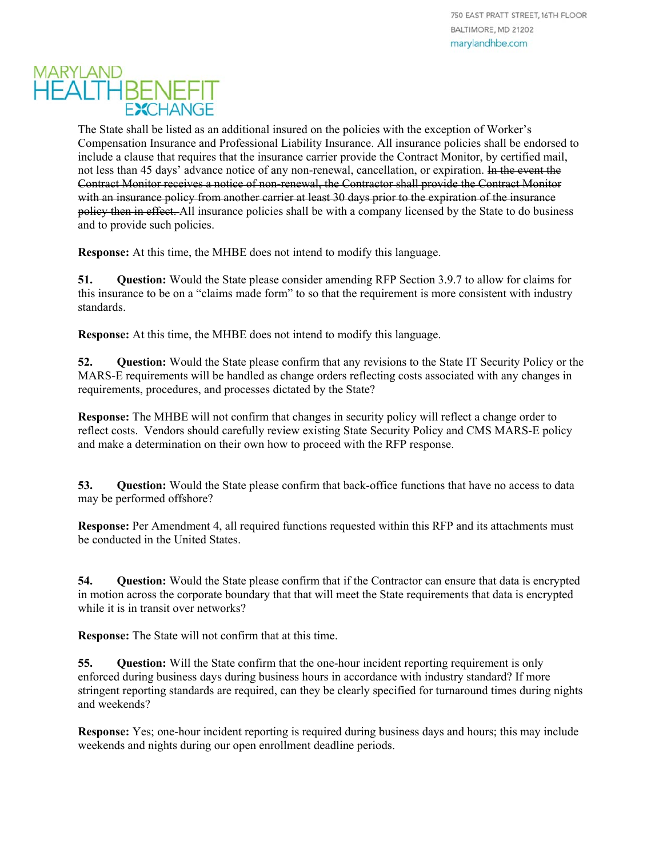The State shall be listed as an additional insured on the policies with the exception of Worker's Compensation Insurance and Professional Liability Insurance. All insurance policies shall be endorsed to include a clause that requires that the insurance carrier provide the Contract Monitor, by certified mail, not less than 45 days' advance notice of any non-renewal, cancellation, or expiration. In the event the Contract Monitor receives a notice of non-renewal, the Contractor shall provide the Contract Monitor with an insurance policy from another carrier at least 30 days prior to the expiration of the insurance policy then in effect. All insurance policies shall be with a company licensed by the State to do business and to provide such policies.

**Response:** At this time, the MHBE does not intend to modify this language.

**51. Question:** Would the State please consider amending RFP Section 3.9.7 to allow for claims for this insurance to be on a "claims made form" to so that the requirement is more consistent with industry standards.

**Response:** At this time, the MHBE does not intend to modify this language.

**52. Question:** Would the State please confirm that any revisions to the State IT Security Policy or the MARS-E requirements will be handled as change orders reflecting costs associated with any changes in requirements, procedures, and processes dictated by the State?

**Response:** The MHBE will not confirm that changes in security policy will reflect a change order to reflect costs. Vendors should carefully review existing State Security Policy and CMS MARS-E policy and make a determination on their own how to proceed with the RFP response.

**53. Question:** Would the State please confirm that back-office functions that have no access to data may be performed offshore?

**Response:** Per Amendment 4, all required functions requested within this RFP and its attachments must be conducted in the United States.

**54. Question:** Would the State please confirm that if the Contractor can ensure that data is encrypted in motion across the corporate boundary that that will meet the State requirements that data is encrypted while it is in transit over networks?

**Response:** The State will not confirm that at this time.

**55.** Question: Will the State confirm that the one-hour incident reporting requirement is only enforced during business days during business hours in accordance with industry standard? If more stringent reporting standards are required, can they be clearly specified for turnaround times during nights and weekends?

**Response:** Yes; one-hour incident reporting is required during business days and hours; this may include weekends and nights during our open enrollment deadline periods.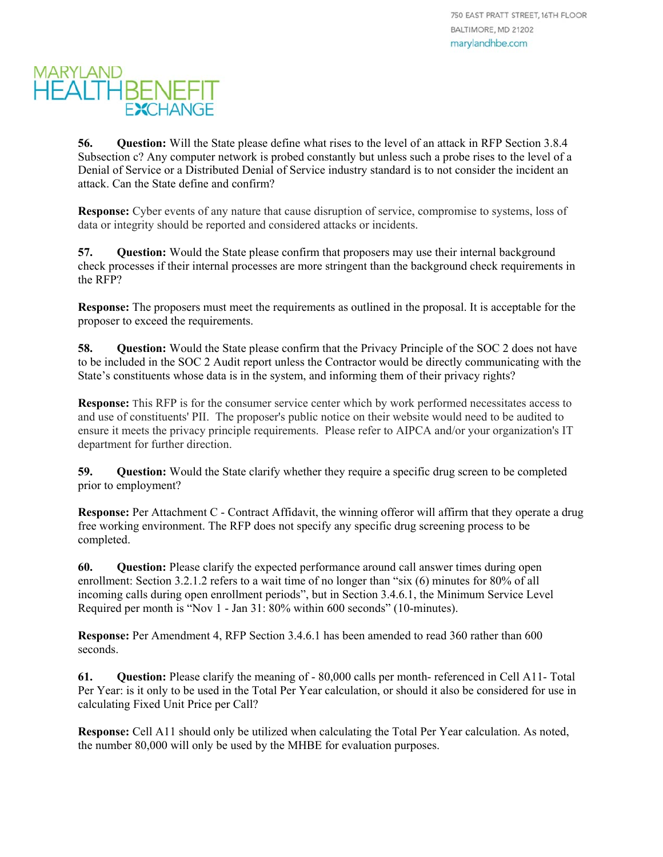**56. Question:** Will the State please define what rises to the level of an attack in RFP Section 3.8.4 Subsection c? Any computer network is probed constantly but unless such a probe rises to the level of a Denial of Service or a Distributed Denial of Service industry standard is to not consider the incident an attack. Can the State define and confirm?

**Response:** Cyber events of any nature that cause disruption of service, compromise to systems, loss of data or integrity should be reported and considered attacks or incidents.

**57. Question:** Would the State please confirm that proposers may use their internal background check processes if their internal processes are more stringent than the background check requirements in the RFP?

**Response:** The proposers must meet the requirements as outlined in the proposal. It is acceptable for the proposer to exceed the requirements.

**58.** Question: Would the State please confirm that the Privacy Principle of the SOC 2 does not have to be included in the SOC 2 Audit report unless the Contractor would be directly communicating with the State's constituents whose data is in the system, and informing them of their privacy rights?

**Response:** This RFP is for the consumer service center which by work performed necessitates access to and use of constituents' PII. The proposer's public notice on their website would need to be audited to ensure it meets the privacy principle requirements. Please refer to AIPCA and/or your organization's IT department for further direction.

**59. Question:** Would the State clarify whether they require a specific drug screen to be completed prior to employment?

**Response:** Per Attachment C - Contract Affidavit, the winning offeror will affirm that they operate a drug free working environment. The RFP does not specify any specific drug screening process to be completed.

**60. Question:** Please clarify the expected performance around call answer times during open enrollment: Section 3.2.1.2 refers to a wait time of no longer than "six (6) minutes for 80% of all incoming calls during open enrollment periods", but in Section 3.4.6.1, the Minimum Service Level Required per month is "Nov 1 - Jan 31: 80% within 600 seconds" (10-minutes).

**Response:** Per Amendment 4, RFP Section 3.4.6.1 has been amended to read 360 rather than 600 seconds.

**61. Question:** Please clarify the meaning of - 80,000 calls per month- referenced in Cell A11- Total Per Year: is it only to be used in the Total Per Year calculation, or should it also be considered for use in calculating Fixed Unit Price per Call?

**Response:** Cell A11 should only be utilized when calculating the Total Per Year calculation. As noted, the number 80,000 will only be used by the MHBE for evaluation purposes.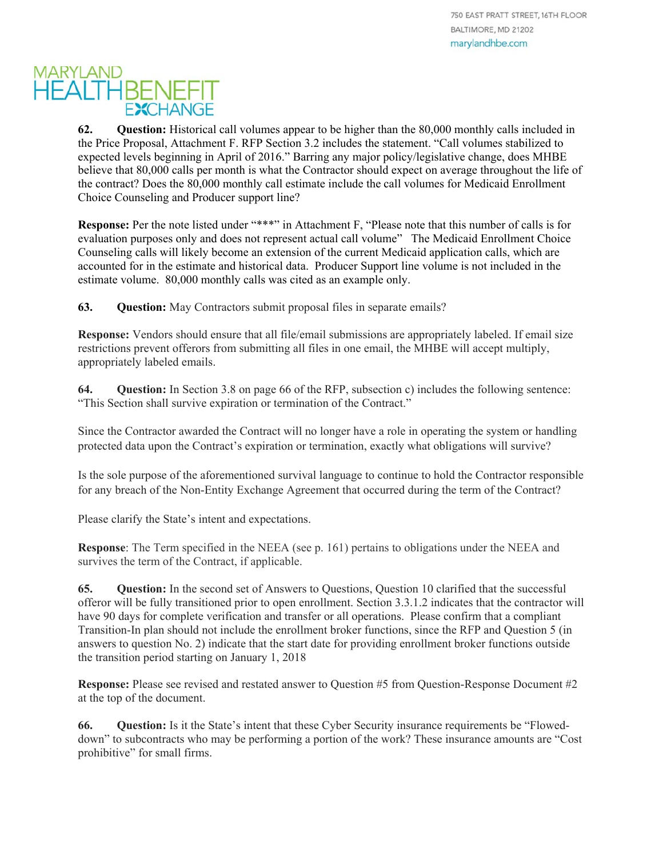**62. Question:** Historical call volumes appear to be higher than the 80,000 monthly calls included in the Price Proposal, Attachment F. RFP Section 3.2 includes the statement. "Call volumes stabilized to expected levels beginning in April of 2016." Barring any major policy/legislative change, does MHBE believe that 80,000 calls per month is what the Contractor should expect on average throughout the life of the contract? Does the 80,000 monthly call estimate include the call volumes for Medicaid Enrollment Choice Counseling and Producer support line?

**Response:** Per the note listed under "\*\*\*" in Attachment F, "Please note that this number of calls is for evaluation purposes only and does not represent actual call volume" The Medicaid Enrollment Choice Counseling calls will likely become an extension of the current Medicaid application calls, which are accounted for in the estimate and historical data. Producer Support line volume is not included in the estimate volume. 80,000 monthly calls was cited as an example only.

**63. Question:** May Contractors submit proposal files in separate emails?

**Response:** Vendors should ensure that all file/email submissions are appropriately labeled. If email size restrictions prevent offerors from submitting all files in one email, the MHBE will accept multiply, appropriately labeled emails.

**64. Question:** In Section 3.8 on page 66 of the RFP, subsection c) includes the following sentence: "This Section shall survive expiration or termination of the Contract."

Since the Contractor awarded the Contract will no longer have a role in operating the system or handling protected data upon the Contract's expiration or termination, exactly what obligations will survive?

Is the sole purpose of the aforementioned survival language to continue to hold the Contractor responsible for any breach of the Non-Entity Exchange Agreement that occurred during the term of the Contract?

Please clarify the State's intent and expectations.

**Response**: The Term specified in the NEEA (see p. 161) pertains to obligations under the NEEA and survives the term of the Contract, if applicable.

**65. Question:** In the second set of Answers to Questions, Question 10 clarified that the successful offeror will be fully transitioned prior to open enrollment. Section 3.3.1.2 indicates that the contractor will have 90 days for complete verification and transfer or all operations. Please confirm that a compliant Transition-In plan should not include the enrollment broker functions, since the RFP and Question 5 (in answers to question No. 2) indicate that the start date for providing enrollment broker functions outside the transition period starting on January 1, 2018

**Response:** Please see revised and restated answer to Question #5 from Question-Response Document #2 at the top of the document.

**66. Question:** Is it the State's intent that these Cyber Security insurance requirements be "Floweddown" to subcontracts who may be performing a portion of the work? These insurance amounts are "Cost prohibitive" for small firms.